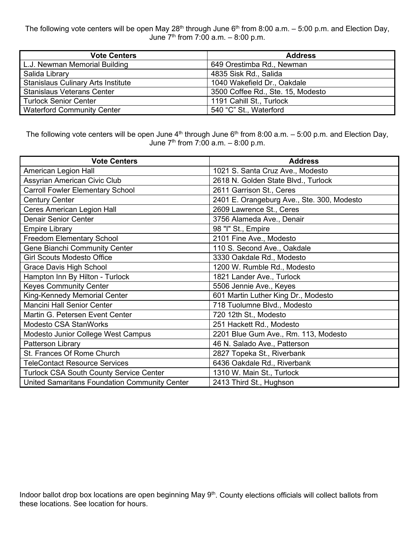The following vote centers will be open May 28<sup>th</sup> through June 6<sup>th</sup> from 8:00 a.m. – 5:00 p.m. and Election Day, June  $7<sup>th</sup>$  from 7:00 a.m.  $-8:00$  p.m.

| <b>Vote Centers</b>                       | <b>Address</b>                    |
|-------------------------------------------|-----------------------------------|
| L.J. Newman Memorial Building             | 649 Orestimba Rd., Newman         |
| Salida Library                            | 4835 Sisk Rd., Salida             |
| <b>Stanislaus Culinary Arts Institute</b> | 1040 Wakefield Dr., Oakdale       |
| <b>Stanislaus Veterans Center</b>         | 3500 Coffee Rd., Ste. 15, Modesto |
| <b>Turlock Senior Center</b>              | 1191 Cahill St., Turlock          |
| <b>Waterford Community Center</b>         | 540 "C" St., Waterford            |

The following vote centers will be open June  $4<sup>th</sup>$  through June  $6<sup>th</sup>$  from 8:00 a.m.  $-5:00$  p.m. and Election Day, June  $7^{th}$  from  $7:00$  a.m.  $-8:00$  p.m.

| <b>Vote Centers</b>                            | <b>Address</b>                             |
|------------------------------------------------|--------------------------------------------|
| American Legion Hall                           | 1021 S. Santa Cruz Ave., Modesto           |
| Assyrian American Civic Club                   | 2618 N. Golden State Blvd., Turlock        |
| <b>Carroll Fowler Elementary School</b>        | 2611 Garrison St., Ceres                   |
| <b>Century Center</b>                          | 2401 E. Orangeburg Ave., Ste. 300, Modesto |
| <b>Ceres American Legion Hall</b>              | 2609 Lawrence St., Ceres                   |
| <b>Denair Senior Center</b>                    | 3756 Alameda Ave., Denair                  |
| <b>Empire Library</b>                          | 98 "I" St., Empire                         |
| <b>Freedom Elementary School</b>               | 2101 Fine Ave., Modesto                    |
| <b>Gene Bianchi Community Center</b>           | 110 S. Second Ave., Oakdale                |
| <b>Girl Scouts Modesto Office</b>              | 3330 Oakdale Rd., Modesto                  |
| Grace Davis High School                        | 1200 W. Rumble Rd., Modesto                |
| Hampton Inn By Hilton - Turlock                | 1821 Lander Ave., Turlock                  |
| <b>Keyes Community Center</b>                  | 5506 Jennie Ave., Keyes                    |
| King-Kennedy Memorial Center                   | 601 Martin Luther King Dr., Modesto        |
| <b>Mancini Hall Senior Center</b>              | 718 Tuolumne Blvd., Modesto                |
| Martin G. Petersen Event Center                | 720 12th St., Modesto                      |
| <b>Modesto CSA StanWorks</b>                   | 251 Hackett Rd., Modesto                   |
| Modesto Junior College West Campus             | 2201 Blue Gum Ave., Rm. 113, Modesto       |
| Patterson Library                              | 46 N. Salado Ave., Patterson               |
| St. Frances Of Rome Church                     | 2827 Topeka St., Riverbank                 |
| TeleContact Resource Services                  | 6436 Oakdale Rd., Riverbank                |
| <b>Turlock CSA South County Service Center</b> | 1310 W. Main St., Turlock                  |
| United Samaritans Foundation Community Center  | 2413 Third St., Hughson                    |

Indoor ballot drop box locations are open beginning May 9<sup>th</sup>. County elections officials will collect ballots from these locations. See location for hours.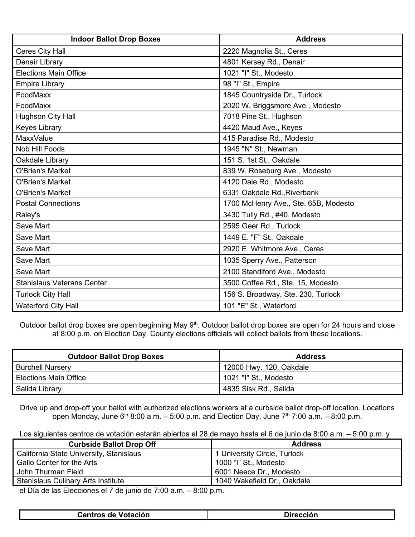| <b>Indoor Ballot Drop Boxes</b>   | <b>Address</b>                       |
|-----------------------------------|--------------------------------------|
| Ceres City Hall                   | 2220 Magnolia St., Ceres             |
| Denair Library                    | 4801 Kersey Rd., Denair              |
| <b>Elections Main Office</b>      | 1021 "I" St., Modesto                |
| <b>Empire Library</b>             | 98 "I" St., Empire                   |
| FoodMaxx                          | 1845 Countryside Dr., Turlock        |
| FoodMaxx                          | 2020 W. Briggsmore Ave., Modesto     |
| Hughson City Hall                 | 7018 Pine St., Hughson               |
| <b>Keyes Library</b>              | 4420 Maud Ave., Keyes                |
| <b>MaxxValue</b>                  | 415 Paradise Rd., Modesto            |
| Nob Hill Foods                    | 1945 "N" St., Newman                 |
| Oakdale Library                   | 151 S. 1st St., Oakdale              |
| <b>O'Brien's Market</b>           | 839 W. Roseburg Ave., Modesto        |
| <b>O'Brien's Market</b>           | 4120 Dale Rd., Modesto               |
| <b>O'Brien's Market</b>           | 6331 Oakdale Rd., Riverbank          |
| <b>Postal Connections</b>         | 1700 McHenry Ave., Ste. 65B, Modesto |
| Raley's                           | 3430 Tully Rd., #40, Modesto         |
| Save Mart                         | 2595 Geer Rd., Turlock               |
| Save Mart                         | 1449 E. "F" St., Oakdale             |
| <b>Save Mart</b>                  | 2920 E. Whitmore Ave., Ceres         |
| <b>Save Mart</b>                  | 1035 Sperry Ave., Patterson          |
| <b>Save Mart</b>                  | 2100 Standiford Ave., Modesto        |
| <b>Stanislaus Veterans Center</b> | 3500 Coffee Rd., Ste. 15, Modesto    |
| <b>Turlock City Hall</b>          | 156 S. Broadway, Ste. 230, Turlock   |
| <b>Waterford City Hall</b>        | 101 "E" St., Waterford               |

Outdoor ballot drop boxes are open beginning May 9<sup>th</sup>. Outdoor ballot drop boxes are open for 24 hours and close at 8:00 p.m. on Election Day. County elections officials will collect ballots from these locations.

| <b>Outdoor Ballot Drop Boxes</b> | <b>Address</b>          |
|----------------------------------|-------------------------|
| <b>Burchell Nursery</b>          | 12000 Hwy. 120, Oakdale |
| Elections Main Office            | 1021 "I" St., Modesto   |
| Salida Library                   | 4835 Sisk Rd., Salida   |

Drive up and drop-off your ballot with authorized elections workers at a curbside ballot drop-off location. Locations open Monday, June 6<sup>th</sup> 8:00 a.m. – 5:00 p.m. and Election Day, June 7<sup>th</sup> 7:00 a.m. – 8:00 p.m.

|  |  | Los siguientes centros de votación estarán abiertos el 28 de mayo hasta el 6 de junio de 8:00 a.m. – 5:00 p.m. y |
|--|--|------------------------------------------------------------------------------------------------------------------|
|  |  |                                                                                                                  |

| <b>Curbside Ballot Drop Off</b>           | <b>Address</b>               |
|-------------------------------------------|------------------------------|
| California State University, Stanislaus   | 1 University Circle, Turlock |
| Gallo Center for the Arts                 | 1000 "I" St., Modesto        |
| John Thurman Field                        | 6001 Neece Dr., Modesto      |
| <b>Stanislaus Culinary Arts Institute</b> | 1040 Wakefield Dr., Oakdale  |

el Día de las Elecciones el 7 de junio de 7:00 a.m. – 8:00 p.m.

| Centros de Votación<br><b>Dirección</b> |
|-----------------------------------------|
|-----------------------------------------|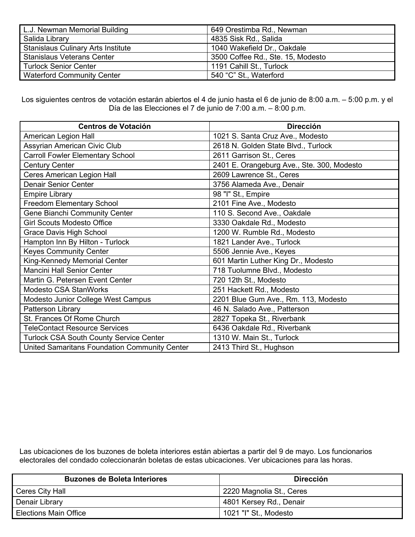| L.J. Newman Memorial Building             | 649 Orestimba Rd., Newman         |
|-------------------------------------------|-----------------------------------|
| Salida Library                            | 4835 Sisk Rd., Salida             |
| <b>Stanislaus Culinary Arts Institute</b> | 1040 Wakefield Dr., Oakdale       |
| <b>Stanislaus Veterans Center</b>         | 3500 Coffee Rd., Ste. 15, Modesto |
| <b>Turlock Senior Center</b>              | 1191 Cahill St., Turlock          |
| <b>Waterford Community Center</b>         | 540 "C" St., Waterford            |

Los siguientes centros de votación estarán abiertos el 4 de junio hasta el 6 de junio de 8:00 a.m. – 5:00 p.m. y el Día de las Elecciones el 7 de junio de 7:00 a.m. – 8:00 p.m.

| <b>Centros de Votación</b>                     | <b>Dirección</b>                           |
|------------------------------------------------|--------------------------------------------|
| American Legion Hall                           | 1021 S. Santa Cruz Ave., Modesto           |
| Assyrian American Civic Club                   | 2618 N. Golden State Blvd., Turlock        |
| <b>Carroll Fowler Elementary School</b>        | 2611 Garrison St., Ceres                   |
| <b>Century Center</b>                          | 2401 E. Orangeburg Ave., Ste. 300, Modesto |
| Ceres American Legion Hall                     | 2609 Lawrence St., Ceres                   |
| <b>Denair Senior Center</b>                    | 3756 Alameda Ave., Denair                  |
| <b>Empire Library</b>                          | 98 "I" St., Empire                         |
| <b>Freedom Elementary School</b>               | 2101 Fine Ave., Modesto                    |
| Gene Bianchi Community Center                  | 110 S. Second Ave., Oakdale                |
| <b>Girl Scouts Modesto Office</b>              | 3330 Oakdale Rd., Modesto                  |
| <b>Grace Davis High School</b>                 | 1200 W. Rumble Rd., Modesto                |
| Hampton Inn By Hilton - Turlock                | 1821 Lander Ave., Turlock                  |
| <b>Keyes Community Center</b>                  | 5506 Jennie Ave., Keyes                    |
| King-Kennedy Memorial Center                   | 601 Martin Luther King Dr., Modesto        |
| <b>Mancini Hall Senior Center</b>              | 718 Tuolumne Blvd., Modesto                |
| Martin G. Petersen Event Center                | 720 12th St., Modesto                      |
| Modesto CSA StanWorks                          | 251 Hackett Rd., Modesto                   |
| Modesto Junior College West Campus             | 2201 Blue Gum Ave., Rm. 113, Modesto       |
| Patterson Library                              | 46 N. Salado Ave., Patterson               |
| St. Frances Of Rome Church                     | 2827 Topeka St., Riverbank                 |
| <b>TeleContact Resource Services</b>           | 6436 Oakdale Rd., Riverbank                |
| <b>Turlock CSA South County Service Center</b> | 1310 W. Main St., Turlock                  |
| United Samaritans Foundation Community Center  | 2413 Third St., Hughson                    |

Las ubicaciones de los buzones de boleta interiores están abiertas a partir del 9 de mayo. Los funcionarios electorales del condado coleccionarán boletas de estas ubicaciones. Ver ubicaciones para las horas.

| <b>Buzones de Boleta Interiores</b> | <b>Dirección</b>         |
|-------------------------------------|--------------------------|
| Ceres City Hall                     | 2220 Magnolia St., Ceres |
| Denair Library                      | 4801 Kersey Rd., Denair  |
| <b>Elections Main Office</b>        | 1021 "I" St., Modesto    |